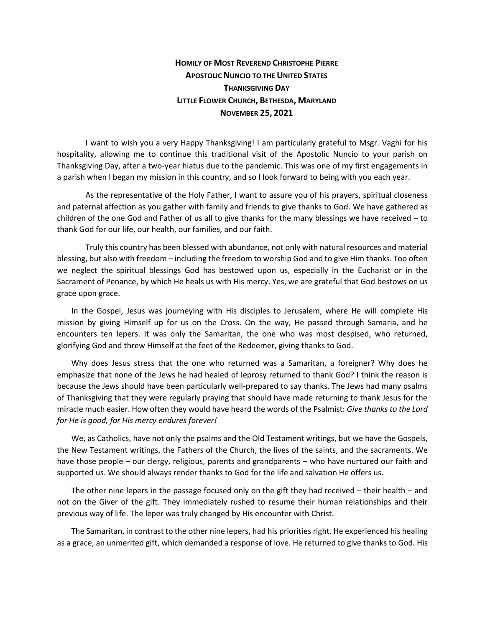## **HOMILY OF MOST REVEREND CHRISTOPHE PIERRE APOSTOLIC NUNCIO TO THE UNITED STATES THANKSGIVING DAY LITTLE FLOWER CHURCH, BETHESDA, MARYLAND NOVEMBER 25, 2021**

I want to wish you a very Happy Thanksgiving! I am particularly grateful to Msgr. Vaghi for his hospitality, allowing me to continue this traditional visit of the Apostolic Nuncio to your parish on Thanksgiving Day, after a two-year hiatus due to the pandemic. This was one of my first engagements in a parish when I began my mission in this country, and so I look forward to being with you each year.

As the representative of the Holy Father, I want to assure you of his prayers, spiritual closeness and paternal affection as you gather with family and friends to give thanks to God. We have gathered as children of the one God and Father of us all to give thanks for the many blessings we have received – to thank God for our life, our health, our families, and our faith.

Truly this country has been blessed with abundance, not only with natural resources and material blessing, but also with freedom – including the freedom to worship God and to give Him thanks. Too often we neglect the spiritual blessings God has bestowed upon us, especially in the Eucharist or in the Sacrament of Penance, by which He heals us with His mercy. Yes, we are grateful that God bestows on us grace upon grace.

In the Gospel, Jesus was journeying with His disciples to Jerusalem, where He will complete His mission by giving Himself up for us on the Cross. On the way, He passed through Samaria, and he encounters ten lepers. It was only the Samaritan, the one who was most despised, who returned, glorifying God and threw Himself at the feet of the Redeemer, giving thanks to God.

Why does Jesus stress that the one who returned was a Samaritan, a foreigner? Why does he emphasize that none of the Jews he had healed of leprosy returned to thank God? I think the reason is because the Jews should have been particularly well-prepared to say thanks. The Jews had many psalms of Thanksgiving that they were regularly praying that should have made returning to thank Jesus for the miracle much easier. How often they would have heard the words of the Psalmist: *Give thanks to the Lord for He is good, for His mercy endures forever!*

We, as Catholics, have not only the psalms and the Old Testament writings, but we have the Gospels, the New Testament writings, the Fathers of the Church, the lives of the saints, and the sacraments. We have those people – our clergy, religious, parents and grandparents – who have nurtured our faith and supported us. We should always render thanks to God for the life and salvation He offers us.

The other nine lepers in the passage focused only on the gift they had received – their health – and not on the Giver of the gift. They immediately rushed to resume their human relationships and their previous way of life. The leper was truly changed by His encounter with Christ.

The Samaritan, in contrast to the other nine lepers, had his priorities right. He experienced his healing as a grace, an unmerited gift, which demanded a response of love. He returned to give thanks to God. His